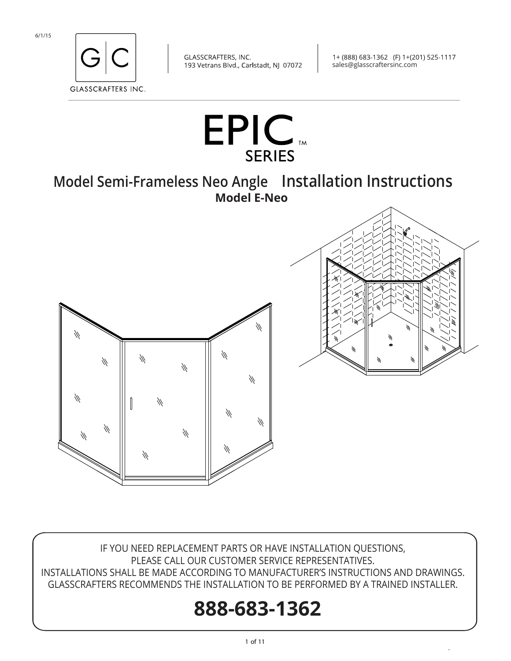

1+ (888) 683-1362 (F) 1+(201) 525-1117 sales@glasscraftersinc.com

`



IF YOU NEED REPLACEMENT PARTS OR HAVE INSTALLATION QUESTIONS, PLEASE CALL OUR CUSTOMER SERVICE REPRESENTATIVES. INSTALLATIONS SHALL BE MADE ACCORDING TO MANUFACTURER'S INSTRUCTIONS AND DRAWINGS. GLASSCRAFTERS RECOMMENDS THE INSTALLATION TO BE PERFORMED BY A TRAINED INSTALLER.

# **888-683-1362**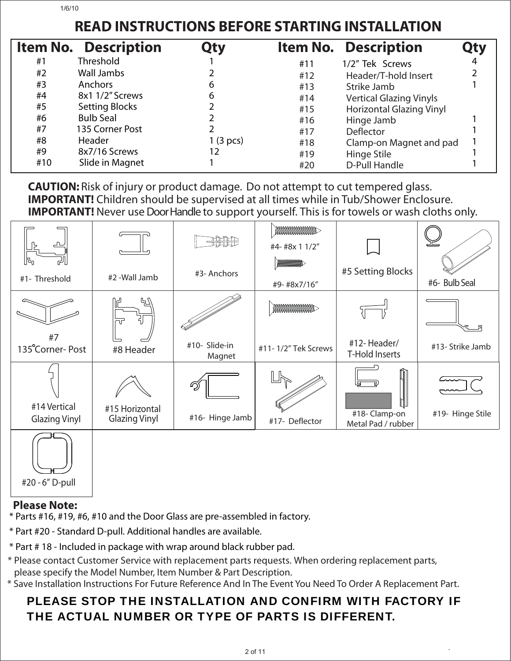## **READ INSTRUCTIONS BEFORE STARTING INSTALLATION**

|     | <b>Item No. Description</b> | Qty       |     | <b>Item No. Description</b>     |   |
|-----|-----------------------------|-----------|-----|---------------------------------|---|
| #1  | <b>Threshold</b>            |           | #11 | 1/2" Tek Screws                 | 4 |
| #2  | Wall Jambs                  |           | #12 | Header/T-hold Insert            |   |
| #3  | Anchors                     | 6         | #13 | Strike Jamb                     |   |
| #4  | 8x1 1/2" Screws             | 6         | #14 | <b>Vertical Glazing Vinyls</b>  |   |
| #5  | <b>Setting Blocks</b>       |           | #15 | <b>Horizontal Glazing Vinyl</b> |   |
| #6  | <b>Bulb Seal</b>            |           | #16 | Hinge Jamb                      |   |
| #7  | 135 Corner Post             |           | #17 | Deflector                       |   |
| #8  | Header                      | 1 (3 pcs) | #18 | Clamp-on Magnet and pad         |   |
| #9  | 8x7/16 Screws               | 12        | #19 | Hinge Stile                     |   |
| #10 | Slide in Magnet             |           | #20 | <b>D-Pull Handle</b>            |   |

 **CAUTION:** Risk of injury or product damage. Do not attempt to cut tempered glass. **IMPORTANT!** Children should be supervised at all times while in Tub/Shower Enclosure. Ī **IMPORTANT!** Never use Door Handle to support yourself. This is for towels or wash cloths only.

| ᆚ<br>tr,<br>الے       |                                        | सीसीम                   | <b>MAAMMAMMAM</b><br>#4-#8x 1 1/2"<br><b>MANAMANANA</b> | #5 Setting Blocks                       |                  |
|-----------------------|----------------------------------------|-------------------------|---------------------------------------------------------|-----------------------------------------|------------------|
| #1- Threshold         | #2 -Wall Jamb                          | #3-Anchors              | #9-#8x7/16"                                             |                                         | #6- Bulb Seal    |
|                       | Ⴁ<br>引<br>ПF                           |                         | <b>MANAMANAMA</b>                                       |                                         |                  |
| #7<br>135°Corner-Post | #8 Header                              | #10- Slide-in<br>Magnet | #11-1/2" Tek Screws                                     | #12-Header/<br><b>T-Hold Inserts</b>    | #13- Strike Jamb |
| #14 Vertical          | #15 Horizontal<br><b>Glazing Vinyl</b> | Ŋ<br>#16- Hinge Jamb    |                                                         | $\overline{\mathbb{L}}$<br>#18-Clamp-on | #19- Hinge Stile |
| <b>Glazing Vinyl</b>  |                                        |                         | #17- Deflector                                          | Metal Pad / rubber                      |                  |
|                       |                                        |                         |                                                         |                                         |                  |

#20 - 6" D-pull

#### **Please Note:**

\* Parts #16, #19, #6, #10 and the Door Glass are pre-assembled in factory.

\* Part #20 - Standard D-pull. Additional handles are available.

\* Part # 18 - Included in package with wrap around black rubber pad.

\* Please contact Customer Service with replacement parts requests. When ordering replacement parts, please specify the Model Number, Item Number & Part Description.

\* Save Installation Instructions For Future Reference And In The Event You Need To Order A Replacement Part.

### PLEASE STOP THE INSTALLATION AND CONFIRM WITH FACTORY IF THE ACTUAL NUMBER OR TYPE OF PARTS IS DIFFERENT.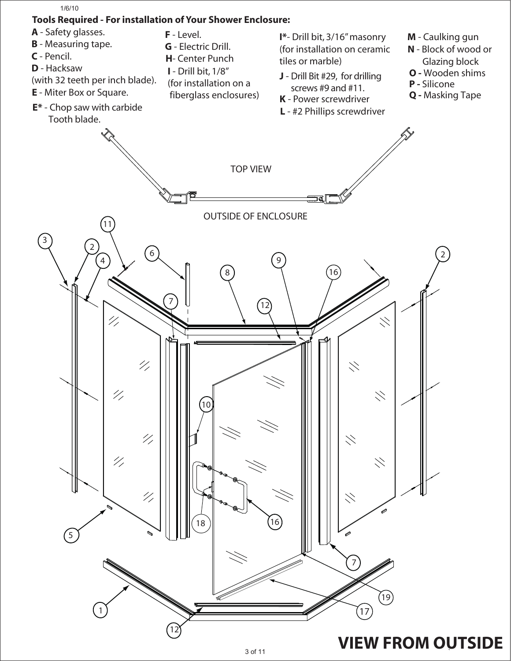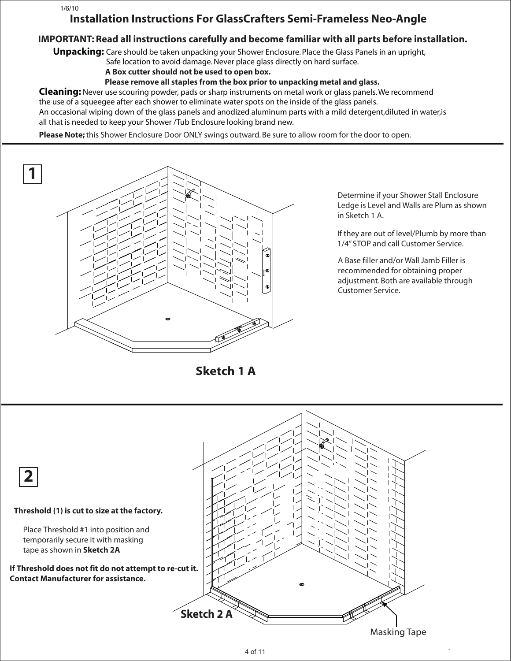#### 1/6/10

#### **Installation Instructions For GlassCrafters Semi-Frameless Neo-Angle**

#### **IMPORTANT: Read all instructions carefully and become familiar with all parts before installation.**

**Unpacking:** Care should be taken unpacking your Shower Enclosure. Place the Glass Panels in an upright,

Safe location to avoid damage. Never place glass directly on hard surface.

 **A Box cutter should not be used to open box.**

 **Please remove all staples from the box prior to unpacking metal and glass.**

**Cleaning:** Never use scouring powder, pads or sharp instruments on metal work or glass panels. We recommend the use of a squeegee after each shower to eliminate water spots on the inside of the glass panels.

An occasional wiping down of the glass panels and anodized aluminum parts with a mild detergent,diluted in water,is all that is needed to keep your Shower /Tub Enclosure looking brand new.

**Please Note;** this Shower Enclosure Door ONLY swings outward. Be sure to allow room for the door to open.



Determine if your Shower Stall Enclosure Ledge is Level and Walls are Plum as shown in Sketch 1 A.

If they are out of level/Plumb by more than 1/4" STOP and call Customer Service.

A Base filler and/or Wall Jamb Filler is recommended for obtaining proper adjustment. Both are available through Customer Service.

**Sketch 1 A**

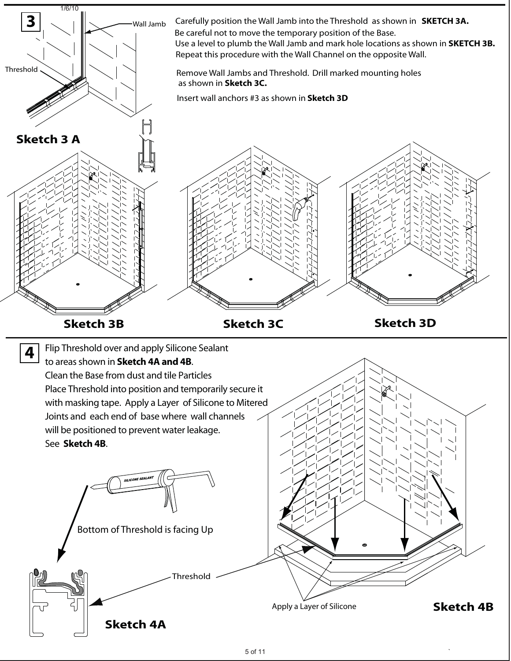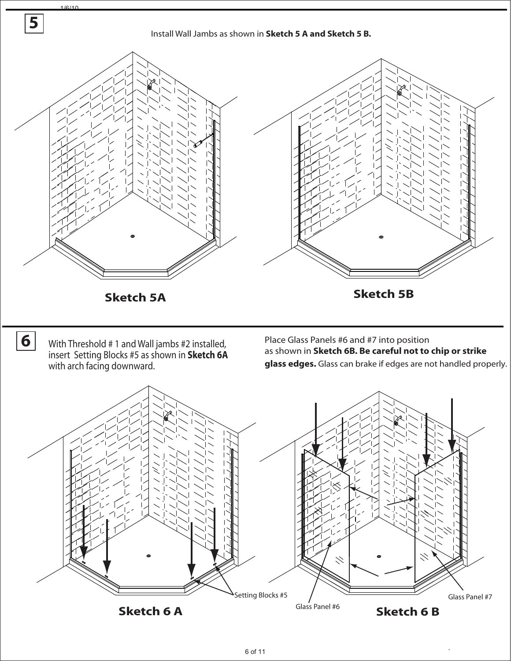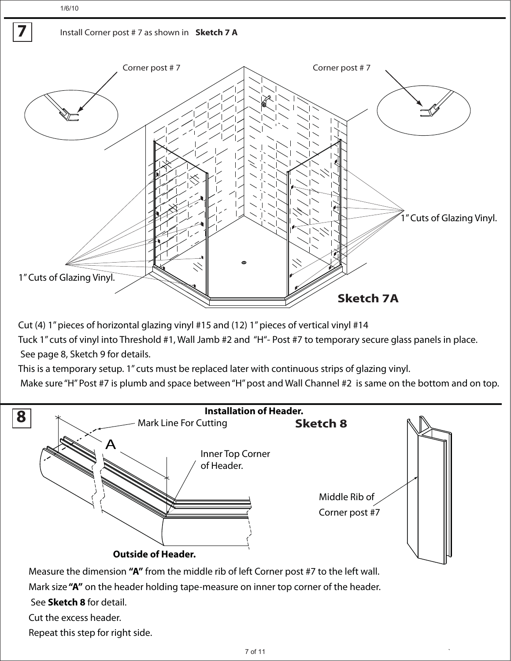1/6/10

**7**

#### Install Corner post # 7 as shown in **Sketch 7 A**



Cut (4) 1" pieces of horizontal glazing vinyl #15 and (12) 1" pieces of vertical vinyl #14

Tuck 1" cuts of vinyl into Threshold #1, Wall Jamb #2 and "H"- Post #7 to temporary secure glass panels in place. See page 8, Sketch 9 for details.

This is a temporary setup. 1" cuts must be replaced later with continuous strips of glazing vinyl.

Make sure "H" Post #7 is plumb and space between "H" post and Wall Channel #2 is same on the bottom and on top.



Cut the excess header.

Repeat this step for right side.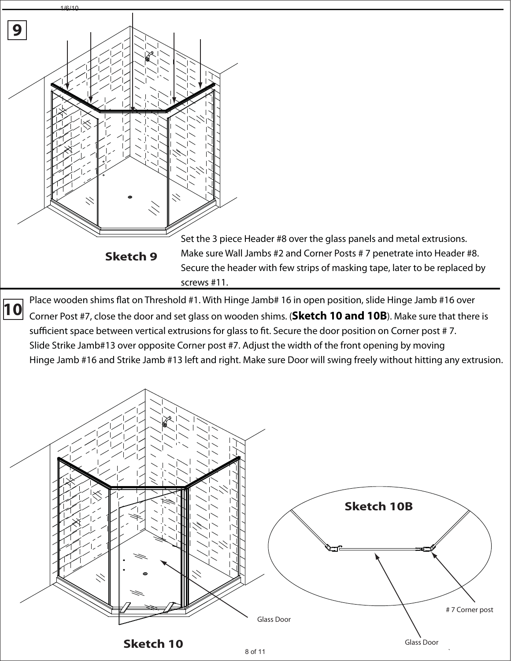

**10** Place wooden shims flat on Threshold #1. With Hinge Jamb# 16 in open position, slide Hinge Jamb #16 over Corner Post #7, close the door and set glass on wooden shims. (**Sketch 10 and 10B**). Make sure that there is sufficient space between vertical extrusions for glass to fit. Secure the door position on Corner post # 7. Slide Strike Jamb#13 over opposite Corner post #7. Adjust the width of the front opening by moving Hinge Jamb #16 and Strike Jamb #13 left and right. Make sure Door will swing freely without hitting any extrusion.

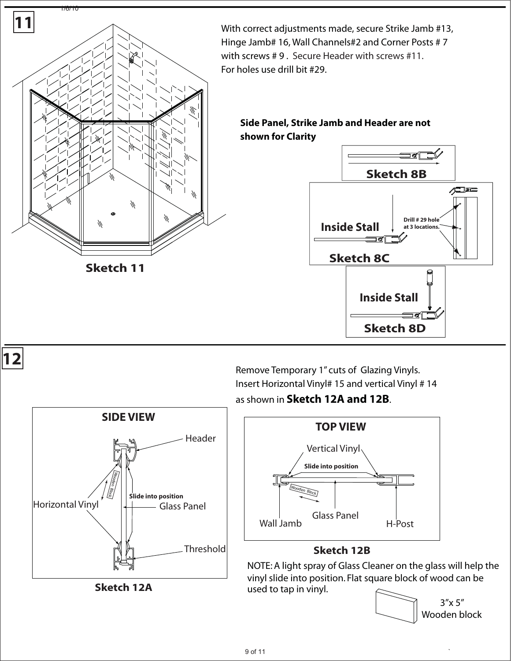

Remove Temporary 1" cuts of Glazing Vinyls. Insert Horizontal Vinyl# 15 and vertical Vinyl # 14 as shown in **Sketch 12A and 12B**.



#### **Sketch 12B**

NOTE: A light spray of Glass Cleaner on the glass will help the vinyl slide into position. Flat square block of wood can be used to tap in vinyl.



**Threshold Header** Horizontal Vinyl Glass Panel **SIDE VIEW Slide into position** Wooden Block

**Sketch 12A**

 $9 \text{ of } 11$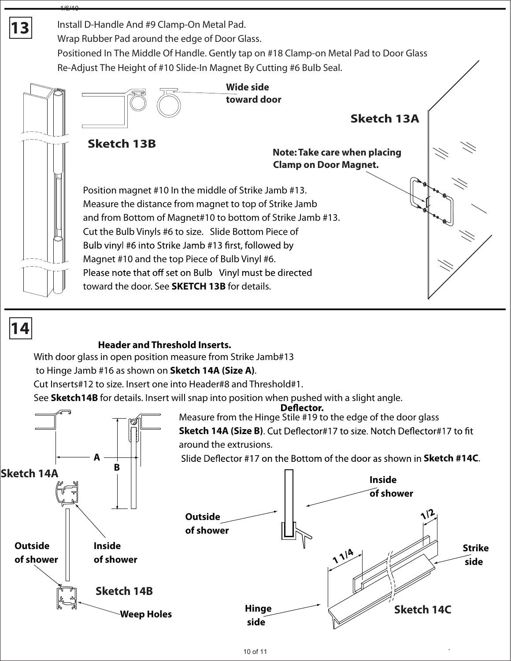

#### **Header and Threshold Inserts.**

With door glass in open position measure from Strike Jamb#13

to Hinge Jamb #16 as shown on **Sketch 14A (Size A)**.

Cut Inserts#12 to size. Insert one into Header#8 and Threshold#1.

See **Sketch14B** for details. Insert will snap into position when pushed with a slight angle.<br>**Deflector.** 



Measure from the Hinge Stile #19 to the edge of the door glass **Sketch 14A (Size B).** Cut Deflector#17 to size. Notch Deflector#17 to fit around the extrusions.

Slide Deflector #17 on the Bottom of the door as shown in **Sketch #14C**.